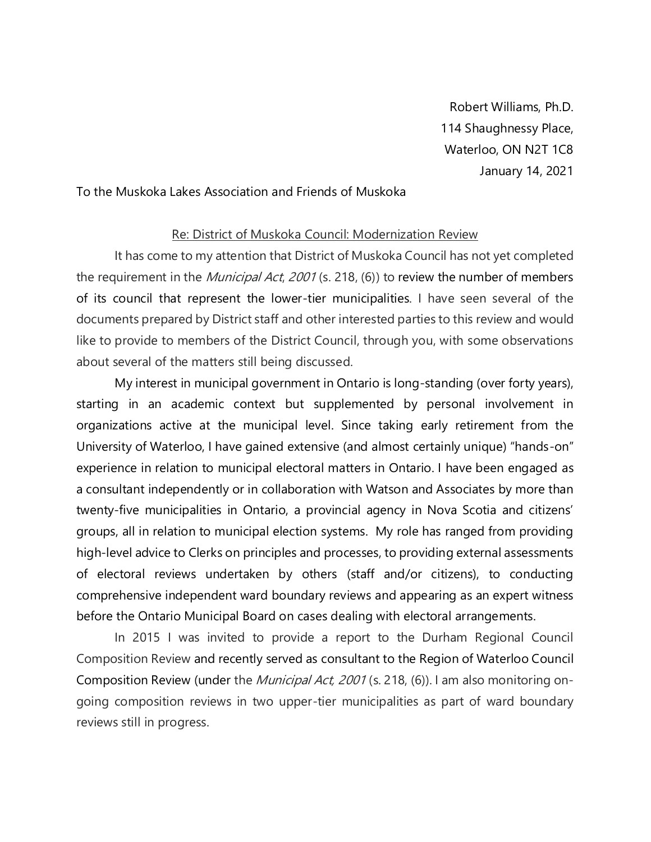Robert Williams, Ph.D. 114 Shaughnessy Place, Waterloo, ON N2T 1C8 January 14, 2021

## To the Muskoka Lakes Association and Friends of Muskoka

## Re: District of Muskoka Council: Modernization Review

It has come to my attention that District of Muskoka Council has not yet completed the requirement in the *Municipal Act, 2001* (s. 218, (6)) to review the number of members of its council that represent the lower-tier municipalities. I have seen several of the documents prepared by District staff and other interested parties to this review and would like to provide to members of the District Council, through you, with some observations about several of the matters still being discussed.

My interest in municipal government in Ontario is long-standing (over forty years), starting in an academic context but supplemented by personal involvement in organizations active at the municipal level. Since taking early retirement from the University of Waterloo, I have gained extensive (and almost certainly unique) "hands-on" experience in relation to municipal electoral matters in Ontario. I have been engaged as a consultant independently or in collaboration with Watson and Associates by more than twenty-five municipalities in Ontario, a provincial agency in Nova Scotia and citizens' groups, all in relation to municipal election systems. My role has ranged from providing high-level advice to Clerks on principles and processes, to providing external assessments of electoral reviews undertaken by others (staff and/or citizens), to conducting comprehensive independent ward boundary reviews and appearing as an expert witness before the Ontario Municipal Board on cases dealing with electoral arrangements.

In 2015 I was invited to provide a report to the Durham Regional Council Composition Review and recently served as consultant to the Region of Waterloo Council Composition Review (under the Municipal Act, 2001 (s. 218, (6)). I am also monitoring ongoing composition reviews in two upper-tier municipalities as part of ward boundary reviews still in progress.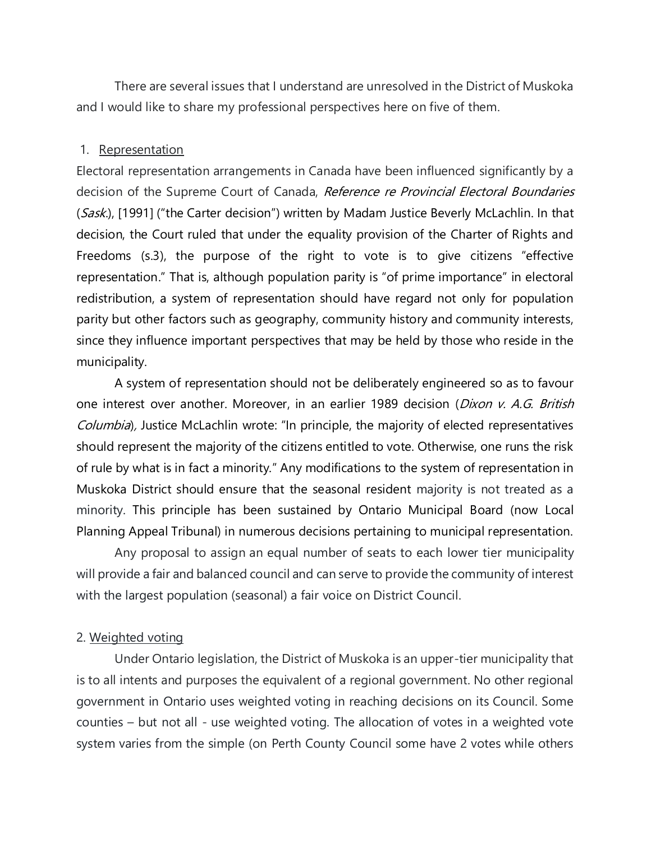There are several issues that I understand are unresolved in the District of Muskoka and I would like to share my professional perspectives here on five of them.

# 1. Representation

Electoral representation arrangements in Canada have been influenced significantly by a decision of the Supreme Court of Canada, Reference re Provincial Electoral Boundaries (Sask.), [1991] ("the Carter decision") written by Madam Justice Beverly McLachlin. In that decision, the Court ruled that under the equality provision of the Charter of Rights and Freedoms (s.3), the purpose of the right to vote is to give citizens "effective representation." That is, although population parity is "of prime importance" in electoral redistribution, a system of representation should have regard not only for population parity but other factors such as geography, community history and community interests, since they influence important perspectives that may be held by those who reside in the municipality.

A system of representation should not be deliberately engineered so as to favour one interest over another. Moreover, in an earlier 1989 decision (*Dixon v. A.G. British* Columbia), Justice McLachlin wrote: "In principle, the majority of elected representatives should represent the majority of the citizens entitled to vote. Otherwise, one runs the risk of rule by what is in fact a minority." Any modifications to the system of representation in Muskoka District should ensure that the seasonal resident majority is not treated as a minority. This principle has been sustained by Ontario Municipal Board (now Local Planning Appeal Tribunal) in numerous decisions pertaining to municipal representation.

Any proposal to assign an equal number of seats to each lower tier municipality will provide a fair and balanced council and can serve to provide the community of interest with the largest population (seasonal) a fair voice on District Council.

# 2. Weighted voting

Under Ontario legislation, the District of Muskoka is an upper-tier municipality that is to all intents and purposes the equivalent of a regional government. No other regional government in Ontario uses weighted voting in reaching decisions on its Council. Some counties – but not all - use weighted voting. The allocation of votes in a weighted vote system varies from the simple (on Perth County Council some have 2 votes while others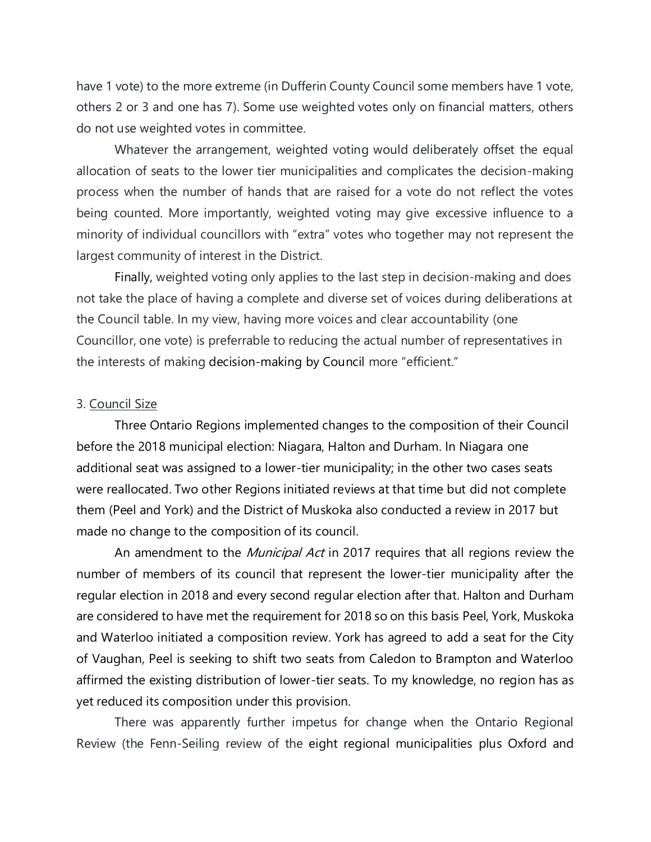have 1 vote) to the more extreme (in Dufferin County Council some members have 1 vote, others 2 or 3 and one has 7). Some use weighted votes only on financial matters, others do not use weighted votes in committee.

Whatever the arrangement, weighted voting would deliberately offset the equal allocation of seats to the lower tier municipalities and complicates the decision-making process when the number of hands that are raised for a vote do not reflect the votes being counted. More importantly, weighted voting may give excessive influence to a minority of individual councillors with "extra" votes who together may not represent the largest community of interest in the District.

Finally, weighted voting only applies to the last step in decision-making and does not take the place of having a complete and diverse set of voices during deliberations at the Council table. In my view, having more voices and clear accountability (one Councillor, one vote) is preferrable to reducing the actual number of representatives in the interests of making decision-making by Council more "efficient."

### 3. Council Size

Three Ontario Regions implemented changes to the composition of their Council before the 2018 municipal election: Niagara, Halton and Durham. In Niagara one additional seat was assigned to a lower-tier municipality; in the other two cases seats were reallocated. Two other Regions initiated reviews at that time but did not complete them (Peel and York) and the District of Muskoka also conducted a review in 2017 but made no change to the composition of its council.

An amendment to the *Municipal Act* in 2017 requires that all regions review the number of members of its council that represent the lower-tier municipality after the regular election in 2018 and every second regular election after that. Halton and Durham are considered to have met the requirement for 2018 so on this basis Peel, York, Muskoka and Waterloo initiated a composition review. York has agreed to add a seat for the City of Vaughan, Peel is seeking to shift two seats from Caledon to Brampton and Waterloo affirmed the existing distribution of lower-tier seats. To my knowledge, no region has as yet reduced its composition under this provision.

There was apparently further impetus for change when the Ontario Regional Review (the Fenn-Seiling review of the eight regional municipalities plus Oxford and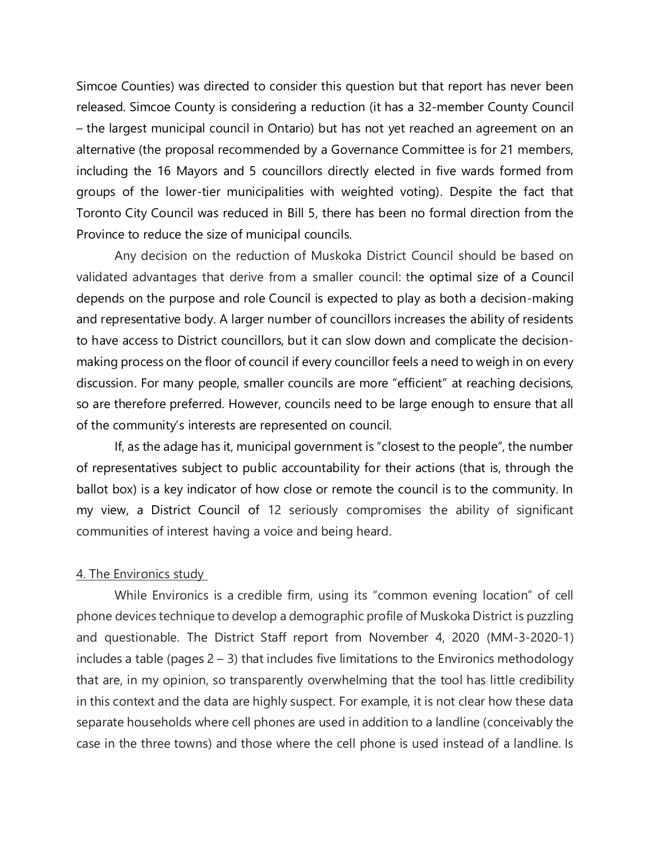Simcoe Counties) was directed to consider this question but that report has never been released. Simcoe County is considering a reduction (it has a 32-member County Council – the largest municipal council in Ontario) but has not yet reached an agreement on an alternative (the proposal recommended by a Governance Committee is for 21 members, including the 16 Mayors and 5 councillors directly elected in five wards formed from groups of the lower-tier municipalities with weighted voting). Despite the fact that Toronto City Council was reduced in Bill 5, there has been no formal direction from the Province to reduce the size of municipal councils.

Any decision on the reduction of Muskoka District Council should be based on validated advantages that derive from a smaller council: the optimal size of a Council depends on the purpose and role Council is expected to play as both a decision-making and representative body. A larger number of councillors increases the ability of residents to have access to District councillors, but it can slow down and complicate the decisionmaking process on the floor of council if every councillor feels a need to weigh in on every discussion. For many people, smaller councils are more "efficient" at reaching decisions, so are therefore preferred. However, councils need to be large enough to ensure that all of the community's interests are represented on council.

If, as the adage has it, municipal government is "closest to the people", the number of representatives subject to public accountability for their actions (that is, through the ballot box) is a key indicator of how close or remote the council is to the community. In my view, a District Council of 12 seriously compromises the ability of significant communities of interest having a voice and being heard.

#### 4. The Environics study

While Environics is a credible firm, using its "common evening location" of cell phone devices technique to develop a demographic profile of Muskoka District is puzzling and questionable. The District Staff report from November 4, 2020 (MM-3-2020-1) includes a table (pages 2 – 3) that includes five limitations to the Environics methodology that are, in my opinion, so transparently overwhelming that the tool has little credibility in this context and the data are highly suspect. For example, it is not clear how these data separate households where cell phones are used in addition to a landline (conceivably the case in the three towns) and those where the cell phone is used instead of a landline. Is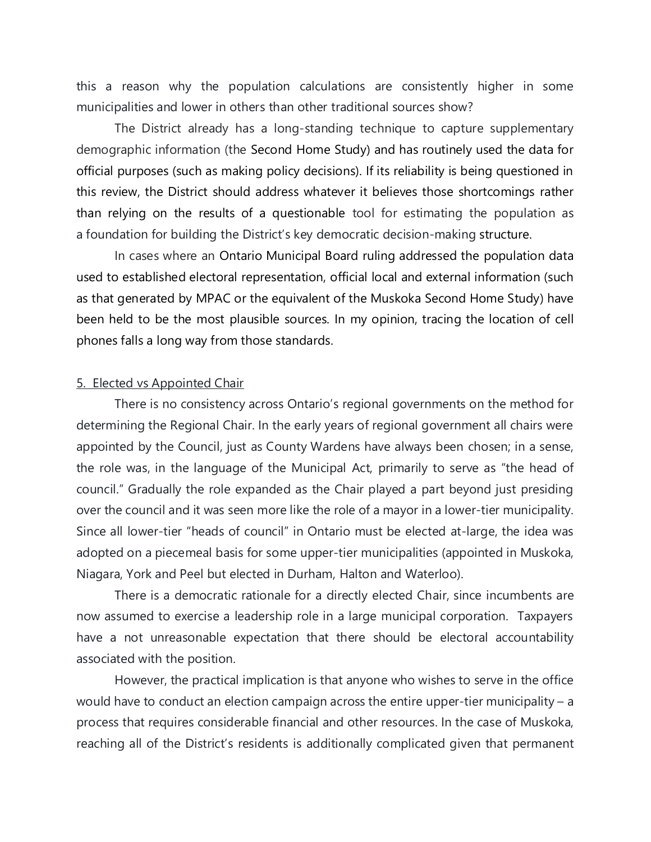this a reason why the population calculations are consistently higher in some municipalities and lower in others than other traditional sources show?

The District already has a long-standing technique to capture supplementary demographic information (the Second Home Study) and has routinely used the data for official purposes (such as making policy decisions). If its reliability is being questioned in this review, the District should address whatever it believes those shortcomings rather than relying on the results of a questionable tool for estimating the population as a foundation for building the District's key democratic decision-making structure.

In cases where an Ontario Municipal Board ruling addressed the population data used to established electoral representation, official local and external information (such as that generated by MPAC or the equivalent of the Muskoka Second Home Study) have been held to be the most plausible sources. In my opinion, tracing the location of cell phones falls a long way from those standards.

#### 5. Elected vs Appointed Chair

There is no consistency across Ontario's regional governments on the method for determining the Regional Chair. In the early years of regional government all chairs were appointed by the Council, just as County Wardens have always been chosen; in a sense, the role was, in the language of the Municipal Act, primarily to serve as "the head of council." Gradually the role expanded as the Chair played a part beyond just presiding over the council and it was seen more like the role of a mayor in a lower-tier municipality. Since all lower-tier "heads of council" in Ontario must be elected at-large, the idea was adopted on a piecemeal basis for some upper-tier municipalities (appointed in Muskoka, Niagara, York and Peel but elected in Durham, Halton and Waterloo).

There is a democratic rationale for a directly elected Chair, since incumbents are now assumed to exercise a leadership role in a large municipal corporation. Taxpayers have a not unreasonable expectation that there should be electoral accountability associated with the position.

However, the practical implication is that anyone who wishes to serve in the office would have to conduct an election campaign across the entire upper-tier municipality – a process that requires considerable financial and other resources. In the case of Muskoka, reaching all of the District's residents is additionally complicated given that permanent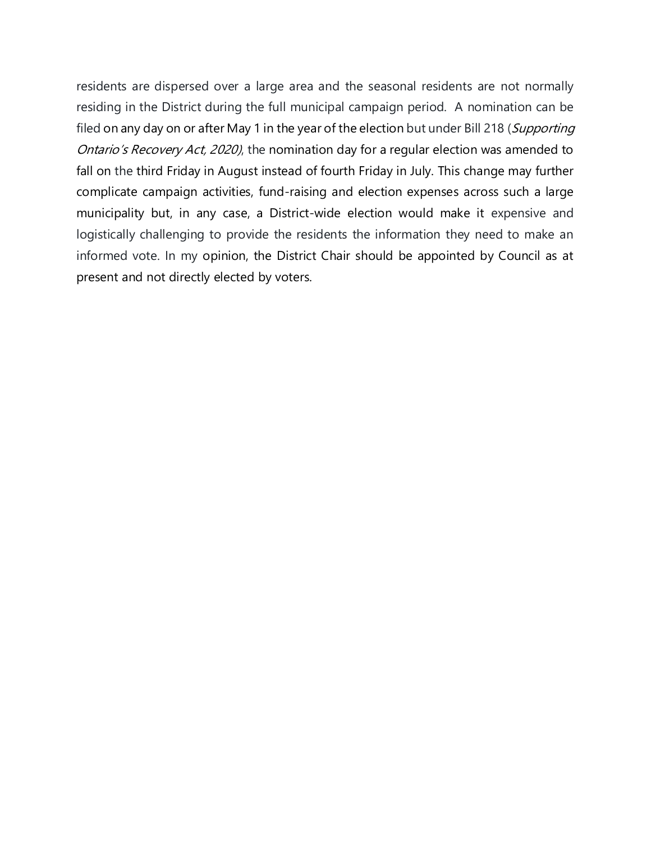residents are dispersed over a large area and the seasonal residents are not normally residing in the District during the full municipal campaign period. A nomination can be filed on any day on or after May 1 in the year of the election but under Bill 218 (Supporting Ontario's Recovery Act, 2020), the nomination day for a regular election was amended to fall on the third Friday in August instead of fourth Friday in July. This change may further complicate campaign activities, fund-raising and election expenses across such a large municipality but, in any case, a District-wide election would make it expensive and logistically challenging to provide the residents the information they need to make an informed vote. In my opinion, the District Chair should be appointed by Council as at present and not directly elected by voters.